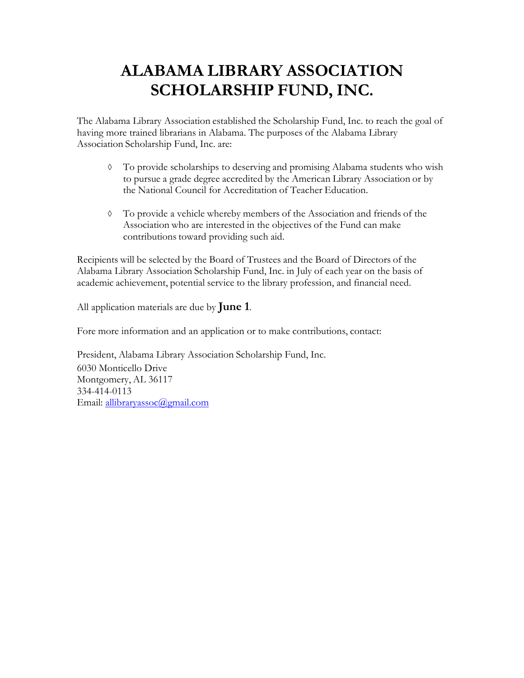The Alabama Library Association established the Scholarship Fund, Inc. to reach the goal of having more trained librarians in Alabama. The purposes of the Alabama Library Association Scholarship Fund, Inc. are:

- ◊ To provide scholarships to deserving and promising Alabama students who wish to pursue a grade degree accredited by the American Library Association or by the National Council for Accreditation of Teacher Education.
- ◊ To provide a vehicle whereby members of the Association and friends of the Association who are interested in the objectives of the Fund can make contributions toward providing such aid.

Recipients will be selected by the Board of Trustees and the Board of Directors of the Alabama Library Association Scholarship Fund, Inc. in July of each year on the basis of academic achievement, potential service to the library profession, and financial need.

All application materials are due by **June 1**.

Fore more information and an application or to make contributions, contact:

President, Alabama Library Association Scholarship Fund, Inc. 6030 Monticello Drive Montgomery, AL 36117 334-414-0113 Email: [allibraryassoc@gmail.com](mailto:allibraryassoc@gmail.com)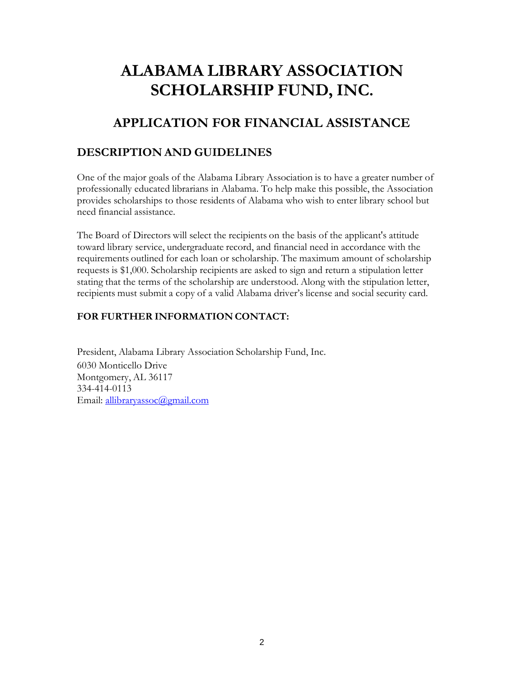## **APPLICATION FOR FINANCIAL ASSISTANCE**

### **DESCRIPTION AND GUIDELINES**

One of the major goals of the Alabama Library Association is to have a greater number of professionally educated librarians in Alabama. To help make this possible, the Association provides scholarships to those residents of Alabama who wish to enter library school but need financial assistance.

The Board of Directors will select the recipients on the basis of the applicant's attitude toward library service, undergraduate record, and financial need in accordance with the requirements outlined for each loan or scholarship. The maximum amount of scholarship requests is \$1,000. Scholarship recipients are asked to sign and return a stipulation letter stating that the terms of the scholarship are understood. Along with the stipulation letter, recipients must submit a copy of a valid Alabama driver's license and social security card.

### **FOR FURTHER INFORMATION CONTACT:**

President, Alabama Library Association Scholarship Fund, Inc. 6030 Monticello Drive Montgomery, AL 36117 334-414-0113 Email: [allibraryassoc@gmail.com](mailto:allibraryassoc@gmail.com)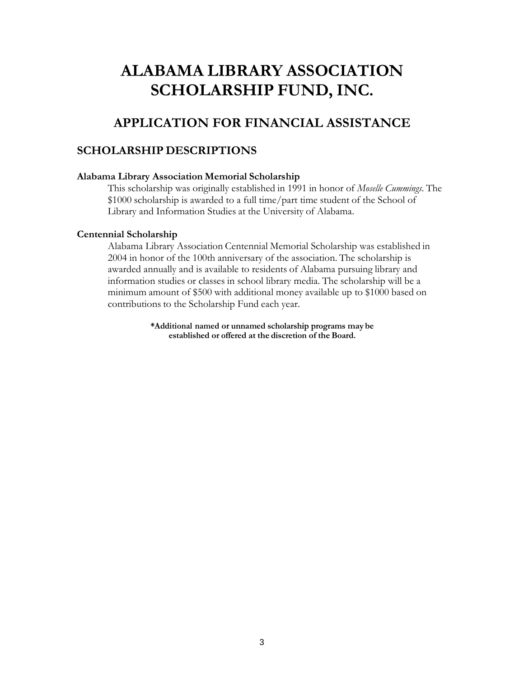### **APPLICATION FOR FINANCIAL ASSISTANCE**

#### **SCHOLARSHIP DESCRIPTIONS**

#### **Alabama Library Association Memorial Scholarship**

This scholarship was originally established in 1991 in honor of *Moselle Cummings*. The \$1000 scholarship is awarded to a full time/part time student of the School of Library and Information Studies at the University of Alabama.

#### **Centennial Scholarship**

Alabama Library Association Centennial Memorial Scholarship was established in 2004 in honor of the 100th anniversary of the association. The scholarship is awarded annually and is available to residents of Alabama pursuing library and information studies or classes in school library media. The scholarship will be a minimum amount of \$500 with additional money available up to \$1000 based on contributions to the Scholarship Fund each year.

> **\*Additional named or unnamed scholarship programs may be established or offered at the discretion of the Board.**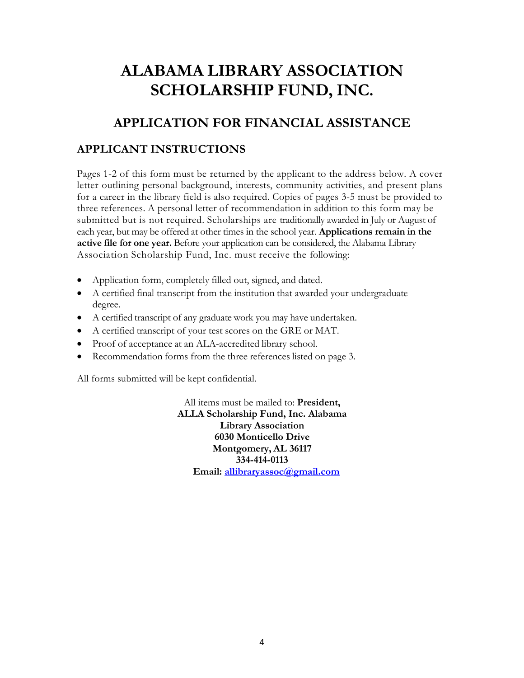## **APPLICATION FOR FINANCIAL ASSISTANCE**

### **APPLICANT INSTRUCTIONS**

Pages 1-2 of this form must be returned by the applicant to the address below. A cover letter outlining personal background, interests, community activities, and present plans for a career in the library field is also required. Copies of pages 3-5 must be provided to three references. A personal letter of recommendation in addition to this form may be submitted but is not required. Scholarships are traditionally awarded in July or August of each year, but may be offered at other times in the school year. **Applications remain in the active file for one year.** Before your application can be considered, the Alabama Library Association Scholarship Fund, Inc. must receive the following:

- Application form, completely filled out, signed, and dated.
- A certified final transcript from the institution that awarded your undergraduate degree.
- A certified transcript of any graduate work you may have undertaken.
- A certified transcript of your test scores on the GRE or MAT.
- Proof of acceptance at an ALA-accredited library school.
- Recommendation forms from the three references listed on page 3.

All forms submitted will be kept confidential.

All items must be mailed to: **President, ALLA Scholarship Fund, Inc. Alabama Library Association 6030 Monticello Drive Montgomery, AL 36117 334-414-0113 Email: [allibraryassoc@gmail.com](mailto:allibraryassoc@gmail.com)**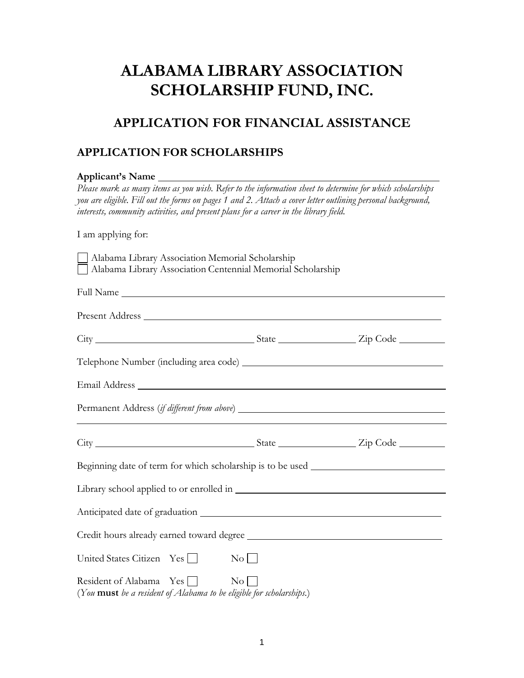## **APPLICATION FOR FINANCIAL ASSISTANCE**

## **APPLICATION FOR SCHOLARSHIPS**

| Applicant's Name                                                                                                                                                                                                                                                                                                                                                                                                                                           |                        |  |  |  |  |                 |  |  |
|------------------------------------------------------------------------------------------------------------------------------------------------------------------------------------------------------------------------------------------------------------------------------------------------------------------------------------------------------------------------------------------------------------------------------------------------------------|------------------------|--|--|--|--|-----------------|--|--|
| Please mark as many items as you wish. Refer to the information sheet to determine for which scholarships<br>you are eligible. Fill out the forms on pages 1 and 2. Attach a cover letter outlining personal background,<br>interests, community activities, and present plans for a career in the library field.<br>I am applying for:<br>Alabama Library Association Memorial Scholarship<br>Alabama Library Association Centennial Memorial Scholarship |                        |  |  |  |  |                 |  |  |
|                                                                                                                                                                                                                                                                                                                                                                                                                                                            |                        |  |  |  |  |                 |  |  |
|                                                                                                                                                                                                                                                                                                                                                                                                                                                            |                        |  |  |  |  | Present Address |  |  |
|                                                                                                                                                                                                                                                                                                                                                                                                                                                            |                        |  |  |  |  |                 |  |  |
|                                                                                                                                                                                                                                                                                                                                                                                                                                                            |                        |  |  |  |  |                 |  |  |
|                                                                                                                                                                                                                                                                                                                                                                                                                                                            |                        |  |  |  |  |                 |  |  |
|                                                                                                                                                                                                                                                                                                                                                                                                                                                            |                        |  |  |  |  |                 |  |  |
| City City City Code                                                                                                                                                                                                                                                                                                                                                                                                                                        |                        |  |  |  |  |                 |  |  |
| Beginning date of term for which scholarship is to be used _____________________                                                                                                                                                                                                                                                                                                                                                                           |                        |  |  |  |  |                 |  |  |
|                                                                                                                                                                                                                                                                                                                                                                                                                                                            |                        |  |  |  |  |                 |  |  |
|                                                                                                                                                                                                                                                                                                                                                                                                                                                            |                        |  |  |  |  |                 |  |  |
|                                                                                                                                                                                                                                                                                                                                                                                                                                                            |                        |  |  |  |  |                 |  |  |
| United States Citizen Yes                                                                                                                                                                                                                                                                                                                                                                                                                                  | $\overline{\text{No}}$ |  |  |  |  |                 |  |  |
| Resident of Alabama Yes<br>(You must be a resident of Alabama to be eligible for scholarships.)                                                                                                                                                                                                                                                                                                                                                            |                        |  |  |  |  |                 |  |  |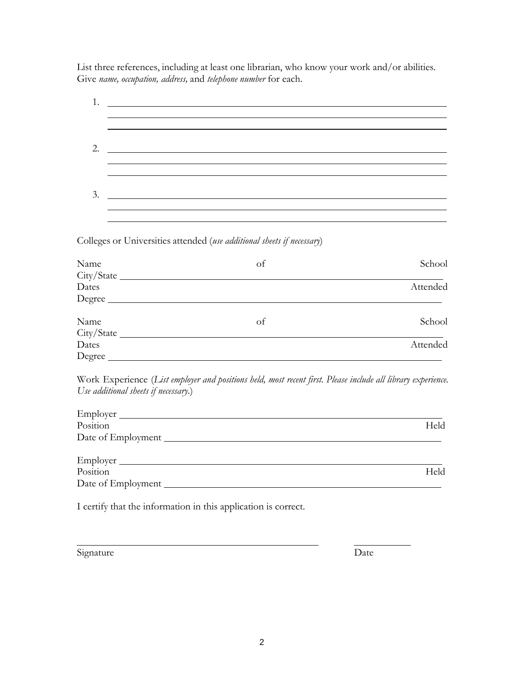List three references, including at least one librarian, who know your work and/or abilities. Give *name, occupation, address,* and *telephone number* for each.

| 1.                                   | <u> 1980 - Jan Stein Stein, fransk politik (f. 1980)</u>                                                                                                                                                                                        |          |
|--------------------------------------|-------------------------------------------------------------------------------------------------------------------------------------------------------------------------------------------------------------------------------------------------|----------|
|                                      |                                                                                                                                                                                                                                                 |          |
|                                      |                                                                                                                                                                                                                                                 |          |
| 2.                                   | <u> 1989 - Johann Stein, fransk politik (* 1958)</u>                                                                                                                                                                                            |          |
|                                      |                                                                                                                                                                                                                                                 |          |
|                                      |                                                                                                                                                                                                                                                 |          |
| 3.                                   | <u> 1999 - Johann John Stone, markin sammen beskrivet foar it ferstjer fan de ferstjer fan de ferstjer fan de fers</u><br><u> 1989 - Jan Salam Barat, masjid a shekara ta 1989 - An tsara ta 1989 - An tsara ta 1989 - An tsara ta 1989 - A</u> |          |
|                                      |                                                                                                                                                                                                                                                 |          |
|                                      | Colleges or Universities attended (use additional sheets if necessary)                                                                                                                                                                          |          |
| Name                                 | of                                                                                                                                                                                                                                              | School   |
|                                      |                                                                                                                                                                                                                                                 |          |
| Dates                                |                                                                                                                                                                                                                                                 | Attended |
|                                      | Degree                                                                                                                                                                                                                                          |          |
| Name                                 | of                                                                                                                                                                                                                                              | School   |
|                                      |                                                                                                                                                                                                                                                 |          |
| Dates                                |                                                                                                                                                                                                                                                 | Attended |
|                                      | Degree                                                                                                                                                                                                                                          |          |
|                                      | Work Experience (List employer and positions held, most recent first. Please include all library experience.                                                                                                                                    |          |
| Use additional sheets if necessary.) |                                                                                                                                                                                                                                                 |          |
|                                      |                                                                                                                                                                                                                                                 |          |
| Position                             |                                                                                                                                                                                                                                                 | Held     |
|                                      |                                                                                                                                                                                                                                                 |          |
|                                      |                                                                                                                                                                                                                                                 |          |
| Position                             |                                                                                                                                                                                                                                                 | Held     |
|                                      |                                                                                                                                                                                                                                                 |          |
|                                      | I certify that the information in this application is correct.                                                                                                                                                                                  |          |
|                                      |                                                                                                                                                                                                                                                 |          |
|                                      |                                                                                                                                                                                                                                                 |          |

Signature Date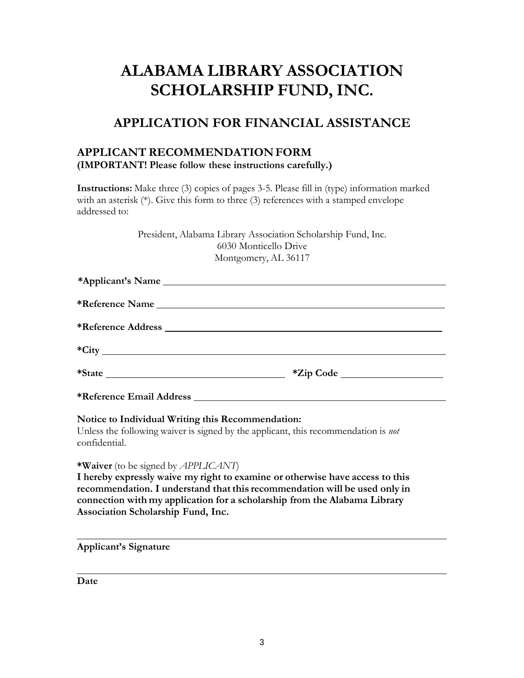## **APPLICATION FOR FINANCIAL ASSISTANCE**

#### **APPLICANT RECOMMENDATION FORM (IMPORTANT! Please follow these instructions carefully.)**

**Instructions:** Make three (3) copies of pages 3-5. Please fill in (type) information marked with an asterisk (\*). Give this form to three (3) references with a stamped envelope addressed to:

> President, Alabama Library Association Scholarship Fund, Inc. 6030 Monticello Drive Montgomery, AL 36117

#### **Notice to Individual Writing this Recommendation:**

Unless the following waiver is signed by the applicant, this recommendation is *not* confidential.

**\*Waiver** (to be signed by *APPLICANT*)

**I hereby expressly waive my right to examine or otherwise have access to this recommendation. I understand that this recommendation will be used only in connection with my application for a scholarship from the Alabama Library Association Scholarship Fund, Inc.**

**Applicant's Signature**

**Date**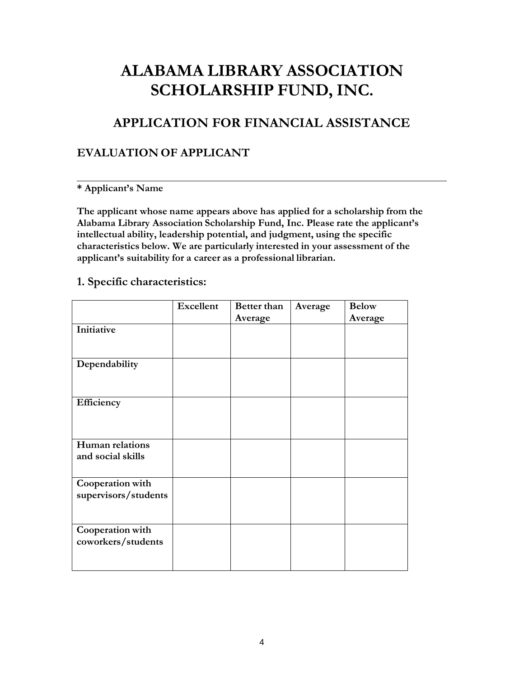## **APPLICATION FOR FINANCIAL ASSISTANCE**

### **EVALUATION OF APPLICANT**

#### **\* Applicant's Name**

**The applicant whose name appears above has applied for a scholarship from the Alabama Library Association Scholarship Fund, Inc. Please rate the applicant's intellectual ability, leadership potential, and judgment, using the specific characteristics below. We are particularly interested in your assessment of the applicant's suitability for a career as a professional librarian.**

### **1. Specific characteristics:**

|                      | <b>Excellent</b> | Better than | Average | <b>Below</b> |
|----------------------|------------------|-------------|---------|--------------|
|                      |                  | Average     |         | Average      |
| Initiative           |                  |             |         |              |
|                      |                  |             |         |              |
|                      |                  |             |         |              |
| Dependability        |                  |             |         |              |
|                      |                  |             |         |              |
|                      |                  |             |         |              |
|                      |                  |             |         |              |
| Efficiency           |                  |             |         |              |
|                      |                  |             |         |              |
|                      |                  |             |         |              |
| Human relations      |                  |             |         |              |
| and social skills    |                  |             |         |              |
|                      |                  |             |         |              |
|                      |                  |             |         |              |
| Cooperation with     |                  |             |         |              |
| supervisors/students |                  |             |         |              |
|                      |                  |             |         |              |
|                      |                  |             |         |              |
| Cooperation with     |                  |             |         |              |
| coworkers/students   |                  |             |         |              |
|                      |                  |             |         |              |
|                      |                  |             |         |              |
|                      |                  |             |         |              |